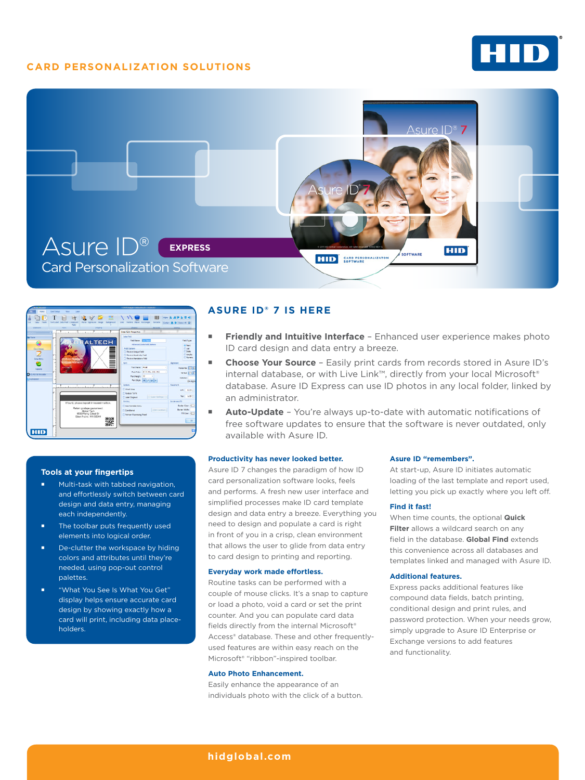## **CARD PERSONALIZATION SOLUTIONS**







#### **Tools at your fingertips**

- **Multi-task with tabbed navigation,** and effortlessly switch between card design and data entry, managing each independently.
- **The toolbar puts frequently used** elements into logical order.
- De-clutter the workspace by hiding colors and attributes until they're needed, using pop-out control palettes.
- "What You See Is What You Get" display helps ensure accurate card design by showing exactly how a card will print, including data placeholders.

## **ASURE ID® 7 IS HERE**

- **Friendly and Intuitive Interface** Enhanced user experience makes photo ID card design and data entry a breeze.
- **Choose Your Source**  Easily print cards from records stored in Asure ID's internal database, or with Live Link™, directly from your local Microsoft® database. Asure ID Express can use ID photos in any local folder, linked by an administrator.
- **Auto-Update** You're always up-to-date with automatic notifications of free software updates to ensure that the software is never outdated, only available with Asure ID.

#### **Productivity has never looked better.**

Asure ID 7 changes the paradigm of how ID card personalization software looks, feels and performs. A fresh new user interface and simplified processes make ID card template design and data entry a breeze. Everything you need to design and populate a card is right in front of you in a crisp, clean environment that allows the user to glide from data entry to card design to printing and reporting.

#### **Everyday work made effortless.**

Routine tasks can be performed with a couple of mouse clicks. It's a snap to capture or load a photo, void a card or set the print counter. And you can populate card data fields directly from the internal Microsoft® Access® database. These and other frequentlyused features are within easy reach on the Microsoft® "ribbon"-inspired toolbar.

#### **Auto Photo Enhancement.**

Easily enhance the appearance of an individuals photo with the click of a button.

#### **Asure ID "remembers".**

At start-up, Asure ID initiates automatic loading of the last template and report used, letting you pick up exactly where you left off.

#### **Find it fast!**

When time counts, the optional **Quick Filter** allows a wildcard search on any field in the database. **Global Find** extends this convenience across all databases and templates linked and managed with Asure ID.

#### **Additional features.**

Express packs additional features like compound data fields, batch printing, conditional design and print rules, and password protection. When your needs grow, simply upgrade to Asure ID Enterprise or Exchange versions to add features and functionality.